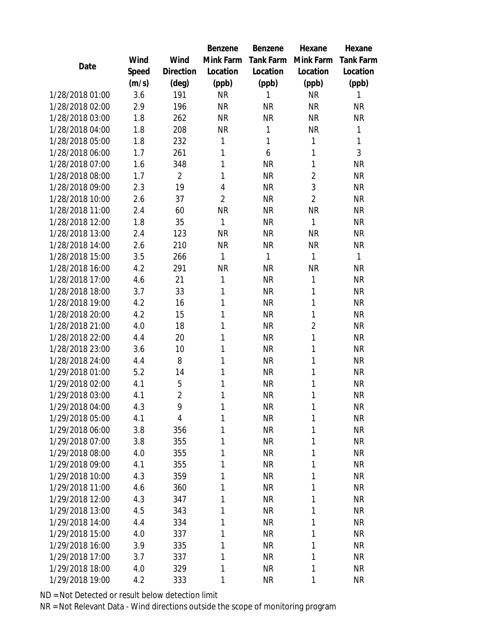|                 |       |                | <b>Benzene</b> | Benzene      | Hexane         | Hexane           |
|-----------------|-------|----------------|----------------|--------------|----------------|------------------|
|                 | Wind  | Wind           | Mink Farm      | Tank Farm    | Mink Farm      | <b>Tank Farm</b> |
| Date            | Speed | Direction      | Location       | Location     | Location       | Location         |
|                 | (m/s) | $(\text{deg})$ | (ppb)          | (ppb)        | (ppb)          | (ppb)            |
| 1/28/2018 01:00 | 3.6   | 191            | <b>NR</b>      | 1            | <b>NR</b>      | 1                |
| 1/28/2018 02:00 | 2.9   | 196            | <b>NR</b>      | <b>NR</b>    | <b>NR</b>      | <b>NR</b>        |
| 1/28/2018 03:00 | 1.8   | 262            | <b>NR</b>      | <b>NR</b>    | <b>NR</b>      | <b>NR</b>        |
| 1/28/2018 04:00 | 1.8   | 208            | <b>NR</b>      | $\mathbf{1}$ | <b>NR</b>      | $\mathbf{1}$     |
| 1/28/2018 05:00 | 1.8   | 232            | 1              | $\mathbf{1}$ | 1              | $\mathbf{1}$     |
| 1/28/2018 06:00 | 1.7   | 261            | 1              | 6            | 1              | 3                |
| 1/28/2018 07:00 | 1.6   | 348            | 1              | <b>NR</b>    | 1              | <b>NR</b>        |
| 1/28/2018 08:00 | 1.7   | $\overline{2}$ | 1              | <b>NR</b>    | $\overline{2}$ | <b>NR</b>        |
| 1/28/2018 09:00 | 2.3   | 19             | 4              | <b>NR</b>    | 3              | NR               |
| 1/28/2018 10:00 | 2.6   | 37             | $\overline{2}$ | <b>NR</b>    | $\overline{2}$ | <b>NR</b>        |
| 1/28/2018 11:00 | 2.4   | 60             | <b>NR</b>      | <b>NR</b>    | <b>NR</b>      | <b>NR</b>        |
| 1/28/2018 12:00 | 1.8   | 35             | 1              | <b>NR</b>    | 1              | <b>NR</b>        |
| 1/28/2018 13:00 | 2.4   | 123            | <b>NR</b>      | <b>NR</b>    | <b>NR</b>      | <b>NR</b>        |
| 1/28/2018 14:00 | 2.6   | 210            | <b>NR</b>      | <b>NR</b>    | <b>NR</b>      | NR               |
| 1/28/2018 15:00 | 3.5   | 266            | $\mathbf{1}$   | $\mathbf{1}$ | 1              | $\mathbf{1}$     |
| 1/28/2018 16:00 | 4.2   | 291            | <b>NR</b>      | <b>NR</b>    | <b>NR</b>      | <b>NR</b>        |
| 1/28/2018 17:00 | 4.6   | 21             | 1              | <b>NR</b>    | 1              | <b>NR</b>        |
| 1/28/2018 18:00 | 3.7   | 33             | 1              | <b>NR</b>    | 1              | <b>NR</b>        |
| 1/28/2018 19:00 | 4.2   | 16             | 1              | <b>NR</b>    | 1              | <b>NR</b>        |
| 1/28/2018 20:00 | 4.2   | 15             | 1              | <b>NR</b>    | 1              | <b>NR</b>        |
| 1/28/2018 21:00 | 4.0   | 18             | 1              | <b>NR</b>    | $\overline{2}$ | <b>NR</b>        |
| 1/28/2018 22:00 | 4.4   | 20             | 1              | <b>NR</b>    | 1              | <b>NR</b>        |
| 1/28/2018 23:00 | 3.6   | 10             | 1              | <b>NR</b>    | 1              | <b>NR</b>        |
| 1/28/2018 24:00 | 4.4   | 8              | 1              | <b>NR</b>    | 1              | <b>NR</b>        |
| 1/29/2018 01:00 | 5.2   | 14             | 1              | <b>NR</b>    | 1              | <b>NR</b>        |
| 1/29/2018 02:00 | 4.1   | 5              | 1              | <b>NR</b>    | 1              | <b>NR</b>        |
| 1/29/2018 03:00 | 4.1   | $\overline{2}$ | 1              | <b>NR</b>    | 1              | <b>NR</b>        |
| 1/29/2018 04:00 | 4.3   | 9              | 1              | <b>NR</b>    | 1              | NR               |
| 1/29/2018 05:00 | 4.1   | 4              | 1              | <b>NR</b>    | 1              | <b>NR</b>        |
| 1/29/2018 06:00 | 3.8   | 356            | 1              | <b>NR</b>    | 1              | <b>NR</b>        |
| 1/29/2018 07:00 | 3.8   | 355            | 1              | <b>NR</b>    | 1              | <b>NR</b>        |
| 1/29/2018 08:00 | 4.0   | 355            | 1              | <b>NR</b>    | 1              | NR               |
| 1/29/2018 09:00 | 4.1   | 355            | 1              | <b>NR</b>    | 1              | NR               |
| 1/29/2018 10:00 | 4.3   | 359            | 1              | <b>NR</b>    | 1              | NR.              |
| 1/29/2018 11:00 | 4.6   | 360            | 1              | <b>NR</b>    | 1              | NR.              |
| 1/29/2018 12:00 | 4.3   | 347            | 1              | <b>NR</b>    | 1              | <b>NR</b>        |
| 1/29/2018 13:00 | 4.5   | 343            | 1              | <b>NR</b>    | 1              | <b>NR</b>        |
| 1/29/2018 14:00 | 4.4   | 334            | 1              | <b>NR</b>    | 1              | <b>NR</b>        |
| 1/29/2018 15:00 | 4.0   | 337            | 1              | <b>NR</b>    | 1              | <b>NR</b>        |
| 1/29/2018 16:00 | 3.9   | 335            | 1              | <b>NR</b>    | 1              | <b>NR</b>        |
| 1/29/2018 17:00 | 3.7   | 337            | 1              | <b>NR</b>    | 1              | NR               |
| 1/29/2018 18:00 | 4.0   | 329            | 1              | <b>NR</b>    | 1              | NR.              |
| 1/29/2018 19:00 | 4.2   | 333            | 1              | <b>NR</b>    | 1              | NR               |

ND = Not Detected or result below detection limit

NR = Not Relevant Data - Wind directions outside the scope of monitoring program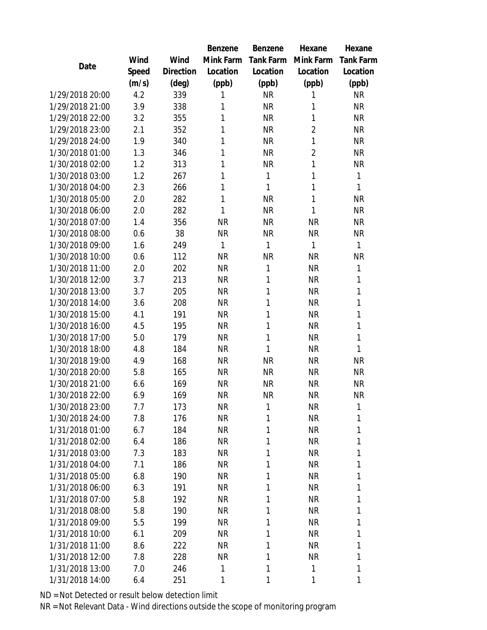|                 |       |                | Benzene      | Benzene      | Hexane         | Hexane           |  |
|-----------------|-------|----------------|--------------|--------------|----------------|------------------|--|
|                 | Wind  | Wind           | Mink Farm    | Tank Farm    | Mink Farm      | <b>Tank Farm</b> |  |
| Date            | Speed | Direction      | Location     | Location     | Location       | Location         |  |
|                 | (m/s) | $(\text{deg})$ | (ppb)        | (ppb)        | (ppb)          | (ppb)            |  |
| 1/29/2018 20:00 | 4.2   | 339            | 1            | <b>NR</b>    | 1              | NR               |  |
| 1/29/2018 21:00 | 3.9   | 338            | 1            | <b>NR</b>    | 1              | NR               |  |
| 1/29/2018 22:00 | 3.2   | 355            | 1            | <b>NR</b>    | 1              | <b>NR</b>        |  |
| 1/29/2018 23:00 | 2.1   | 352            | 1            | <b>NR</b>    | $\overline{2}$ | <b>NR</b>        |  |
| 1/29/2018 24:00 | 1.9   | 340            | 1            | <b>NR</b>    | 1              | <b>NR</b>        |  |
| 1/30/2018 01:00 | 1.3   | 346            | 1            | <b>NR</b>    | $\overline{2}$ | <b>NR</b>        |  |
| 1/30/2018 02:00 | 1.2   | 313            | 1            | <b>NR</b>    | 1              | NR               |  |
| 1/30/2018 03:00 | 1.2   | 267            | 1            | $\mathbf{1}$ | 1              | $\mathbf{1}$     |  |
| 1/30/2018 04:00 | 2.3   | 266            | 1            | 1            | 1              | $\mathbf{1}$     |  |
| 1/30/2018 05:00 | 2.0   | 282            | 1            | <b>NR</b>    | 1              | <b>NR</b>        |  |
| 1/30/2018 06:00 | 2.0   | 282            | $\mathbf{1}$ | <b>NR</b>    | $\mathbf{1}$   | <b>NR</b>        |  |
| 1/30/2018 07:00 | 1.4   | 356            | <b>NR</b>    | <b>NR</b>    | <b>NR</b>      | NR               |  |
| 1/30/2018 08:00 | 0.6   | 38             | <b>NR</b>    | <b>NR</b>    | <b>NR</b>      | <b>NR</b>        |  |
| 1/30/2018 09:00 | 1.6   | 249            | $\mathbf{1}$ | $\mathbf{1}$ | 1              | $\mathbf{1}$     |  |
| 1/30/2018 10:00 | 0.6   | 112            | <b>NR</b>    | <b>NR</b>    | <b>NR</b>      | NR               |  |
| 1/30/2018 11:00 | 2.0   | 202            | <b>NR</b>    | $\mathbf{1}$ | <b>NR</b>      | 1                |  |
| 1/30/2018 12:00 | 3.7   | 213            | <b>NR</b>    | 1            | <b>NR</b>      | 1                |  |
| 1/30/2018 13:00 | 3.7   | 205            | <b>NR</b>    | 1            | <b>NR</b>      | 1                |  |
| 1/30/2018 14:00 | 3.6   | 208            | <b>NR</b>    | 1            | <b>NR</b>      | 1                |  |
| 1/30/2018 15:00 | 4.1   | 191            | <b>NR</b>    | 1            | <b>NR</b>      | $\mathbf{1}$     |  |
| 1/30/2018 16:00 | 4.5   | 195            | <b>NR</b>    | 1            | <b>NR</b>      | 1                |  |
| 1/30/2018 17:00 | 5.0   | 179            | <b>NR</b>    | 1            | <b>NR</b>      | $\mathbf{1}$     |  |
| 1/30/2018 18:00 | 4.8   | 184            | <b>NR</b>    | 1            | <b>NR</b>      | $\mathbf{1}$     |  |
| 1/30/2018 19:00 | 4.9   | 168            | <b>NR</b>    | <b>NR</b>    | <b>NR</b>      | NR               |  |
| 1/30/2018 20:00 | 5.8   | 165            | <b>NR</b>    | <b>NR</b>    | <b>NR</b>      | <b>NR</b>        |  |
| 1/30/2018 21:00 | 6.6   | 169            | <b>NR</b>    | <b>NR</b>    | <b>NR</b>      | NR               |  |
| 1/30/2018 22:00 | 6.9   | 169            | <b>NR</b>    | <b>NR</b>    | <b>NR</b>      | <b>NR</b>        |  |
| 1/30/2018 23:00 | 7.7   | 173            | ΝR           | 1            | NR             | 1                |  |
| 1/30/2018 24:00 | 7.8   | 176            | <b>NR</b>    | 1            | <b>NR</b>      | 1                |  |
| 1/31/2018 01:00 | 6.7   | 184            | NR           | 1            | <b>NR</b>      | 1                |  |
| 1/31/2018 02:00 | 6.4   | 186            | NR           | 1            | <b>NR</b>      | 1                |  |
| 1/31/2018 03:00 | 7.3   | 183            | <b>NR</b>    | 1            | <b>NR</b>      | 1                |  |
| 1/31/2018 04:00 | 7.1   | 186            | NR           | 1            | <b>NR</b>      | 1                |  |
| 1/31/2018 05:00 | 6.8   | 190            | <b>NR</b>    | 1            | <b>NR</b>      | 1                |  |
| 1/31/2018 06:00 | 6.3   | 191            | NR           | 1            | NR             | 1                |  |
| 1/31/2018 07:00 | 5.8   | 192            | <b>NR</b>    | 1            | <b>NR</b>      | 1                |  |
| 1/31/2018 08:00 | 5.8   | 190            | <b>NR</b>    | 1            | <b>NR</b>      | 1                |  |
| 1/31/2018 09:00 | 5.5   | 199            | <b>NR</b>    | 1            | <b>NR</b>      | 1                |  |
| 1/31/2018 10:00 | 6.1   | 209            | <b>NR</b>    | 1            | NR             | 1                |  |
| 1/31/2018 11:00 | 8.6   | 222            | NR           | 1            | NR             | 1                |  |
| 1/31/2018 12:00 | 7.8   | 228            | NR           | 1            | <b>NR</b>      | 1                |  |
| 1/31/2018 13:00 | 7.0   | 246            | 1            | 1            | 1              | 1                |  |
| 1/31/2018 14:00 | 6.4   | 251            | 1            | 1            | 1              | 1                |  |

ND = Not Detected or result below detection limit

NR = Not Relevant Data - Wind directions outside the scope of monitoring program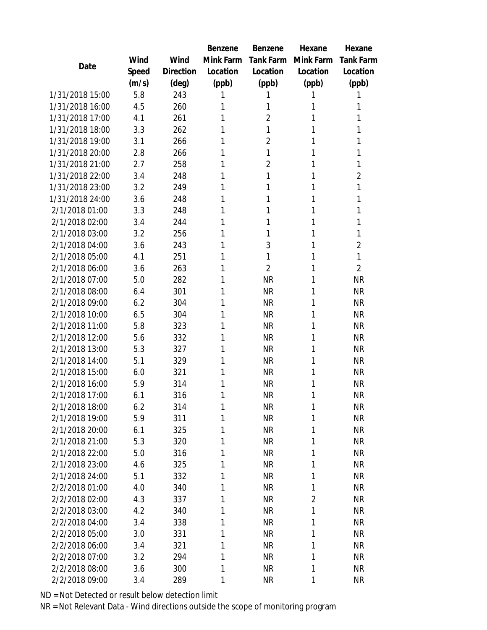|                                  |       |           | Benzene   | Benzene        | Hexane         | Hexane           |
|----------------------------------|-------|-----------|-----------|----------------|----------------|------------------|
| Date                             | Wind  | Wind      | Mink Farm | Tank Farm      | Mink Farm      | <b>Tank Farm</b> |
|                                  | Speed | Direction | Location  | Location       | Location       | Location         |
|                                  | (m/s) | (deg)     | (ppb)     | (ppb)          | (ppb)          | (ppb)            |
| 1/31/2018 15:00                  | 5.8   | 243       | 1         | 1              | 1              | 1                |
| 1/31/2018 16:00                  | 4.5   | 260       | 1         | 1              | 1              | 1                |
| 1/31/2018 17:00                  | 4.1   | 261       | 1         | $\overline{2}$ | 1              | 1                |
| 1/31/2018 18:00                  | 3.3   | 262       | 1         | 1              | 1              | 1                |
| 1/31/2018 19:00                  | 3.1   | 266       | 1         | $\overline{2}$ | 1              | 1                |
| 1/31/2018 20:00                  | 2.8   | 266       | 1         | 1              | 1              | 1                |
| 1/31/2018 21:00                  | 2.7   | 258       | 1         | $\overline{2}$ | 1              | 1                |
| 1/31/2018 22:00                  | 3.4   | 248       | 1         | 1              | 1              | $\overline{2}$   |
| 1/31/2018 23:00                  | 3.2   | 249       | 1         | 1              | 1              | 1                |
| 1/31/2018 24:00                  | 3.6   | 248       | 1         | 1              | 1              | 1                |
| 2/1/2018 01:00                   | 3.3   | 248       | 1         | 1              | 1              | 1                |
| 2/1/2018 02:00                   | 3.4   | 244       | 1         | 1              | 1              | 1                |
| 2/1/2018 03:00                   | 3.2   | 256       | 1         | 1              | 1              | 1                |
| 2/1/2018 04:00                   | 3.6   | 243       | 1         | 3              | 1              | $\overline{2}$   |
| 2/1/2018 05:00                   | 4.1   | 251       | 1         | 1              | 1              | 1                |
| 2/1/2018 06:00                   | 3.6   | 263       | 1         | $\overline{2}$ | 1              | $\overline{2}$   |
| 2/1/2018 07:00                   | 5.0   | 282       | 1         | <b>NR</b>      | 1              | <b>NR</b>        |
| 2/1/2018 08:00                   | 6.4   | 301       | 1         | <b>NR</b>      | 1              | <b>NR</b>        |
| 2/1/2018 09:00                   | 6.2   | 304       | 1         | <b>NR</b>      | 1              | <b>NR</b>        |
| 2/1/2018 10:00                   | 6.5   | 304       | 1         | <b>NR</b>      | 1              | <b>NR</b>        |
| 2/1/2018 11:00                   | 5.8   | 323       | 1         | <b>NR</b>      | 1              | <b>NR</b>        |
| 2/1/2018 12:00                   | 5.6   | 332       | 1         | <b>NR</b>      | 1              | <b>NR</b>        |
| 2/1/2018 13:00                   | 5.3   | 327       | 1         | <b>NR</b>      | 1              | <b>NR</b>        |
| 2/1/2018 14:00                   | 5.1   | 329       | 1         | <b>NR</b>      | 1              | <b>NR</b>        |
| 2/1/2018 15:00                   | 6.0   | 321       | 1         | <b>NR</b>      | 1              | <b>NR</b>        |
| 2/1/2018 16:00                   | 5.9   | 314       | 1         | <b>NR</b>      | 1              | <b>NR</b>        |
| 2/1/2018 17:00                   | 6.1   | 316       | 1         | <b>NR</b>      | 1              | <b>NR</b>        |
| 2/1/2018 18:00                   | 6.2   | 314       | 1         | <b>NR</b>      | 1              | <b>NR</b>        |
| 2/1/2018 19:00                   | 5.9   | 311       | 1         | <b>NR</b>      | 1              | <b>NR</b>        |
| 2/1/2018 20:00                   | 6.1   | 325       | 1         | <b>NR</b>      | 1              | <b>NR</b>        |
| 2/1/2018 21:00                   | 5.3   | 320       | 1         | <b>NR</b>      | 1              | <b>NR</b>        |
| 2/1/2018 22:00                   | 5.0   | 316       | 1         | <b>NR</b>      | 1              | <b>NR</b>        |
| 2/1/2018 23:00                   | 4.6   | 325       | 1         | <b>NR</b>      | 1              | <b>NR</b>        |
| 2/1/2018 24:00                   | 5.1   | 332       | 1         | <b>NR</b>      | 1              | <b>NR</b>        |
| 2/2/2018 01:00                   | 4.0   | 340       | 1         | <b>NR</b>      | 1              | <b>NR</b>        |
| 2/2/2018 02:00                   | 4.3   | 337       | 1         | <b>NR</b>      | $\overline{2}$ | <b>NR</b>        |
| 2/2/2018 03:00                   | 4.2   | 340       | 1         | <b>NR</b>      | 1              | NR               |
| 2/2/2018 04:00                   | 3.4   | 338       | 1         | <b>NR</b>      | 1              | <b>NR</b>        |
| 2/2/2018 05:00                   | 3.0   | 331       | 1         | <b>NR</b>      | 1              | <b>NR</b>        |
| 2/2/2018 06:00<br>2/2/2018 07:00 | 3.4   | 321       | 1         | <b>NR</b>      | 1              | <b>NR</b>        |
| 2/2/2018 08:00                   | 3.2   | 294       | 1<br>1    | <b>NR</b>      | 1<br>1         | <b>NR</b>        |
|                                  | 3.6   | 300       |           | <b>NR</b>      |                | NR               |
| 2/2/2018 09:00                   | 3.4   | 289       | 1         | <b>NR</b>      | 1              | <b>NR</b>        |

ND = Not Detected or result below detection limit

NR = Not Relevant Data - Wind directions outside the scope of monitoring program